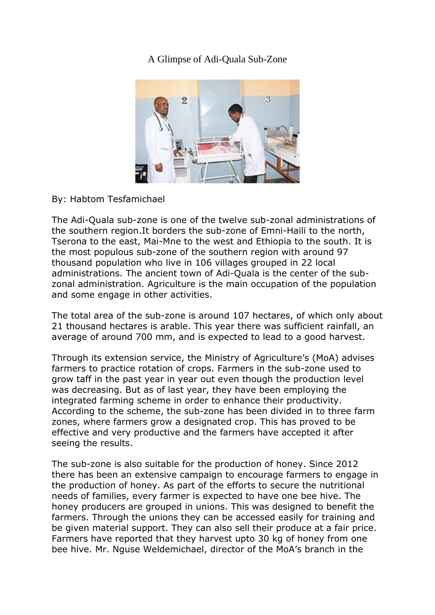## [A Glimpse of Adi-Quala Sub-Zone](http://www.shabait.com/articles/nation-building/29781-a-glimpse-of-adi-quala-sub-zone-)



By: Habtom Tesfamichael

The Adi-Quala sub-zone is one of the twelve sub-zonal administrations of the southern region.It borders the sub-zone of Emni-Haili to the north, Tserona to the east, Mai-Mne to the west and Ethiopia to the south. It is the most populous sub-zone of the southern region with around 97 thousand population who live in 106 villages grouped in 22 local administrations. The ancient town of Adi-Quala is the center of the subzonal administration. Agriculture is the main occupation of the population and some engage in other activities.

The total area of the sub-zone is around 107 hectares, of which only about 21 thousand hectares is arable. This year there was sufficient rainfall, an average of around 700 mm, and is expected to lead to a good harvest.

Through its extension service, the Ministry of Agriculture's (MoA) advises farmers to practice rotation of crops. Farmers in the sub-zone used to grow taff in the past year in year out even though the production level was decreasing. But as of last year, they have been employing the integrated farming scheme in order to enhance their productivity. According to the scheme, the sub-zone has been divided in to three farm zones, where farmers grow a designated crop. This has proved to be effective and very productive and the farmers have accepted it after seeing the results.

The sub-zone is also suitable for the production of honey. Since 2012 there has been an extensive campaign to encourage farmers to engage in the production of honey. As part of the efforts to secure the nutritional needs of families, every farmer is expected to have one bee hive. The honey producers are grouped in unions. This was designed to benefit the farmers. Through the unions they can be accessed easily for training and be given material support. They can also sell their produce at a fair price. Farmers have reported that they harvest upto 30 kg of honey from one bee hive. Mr. Nguse Weldemichael, director of the MoA's branch in the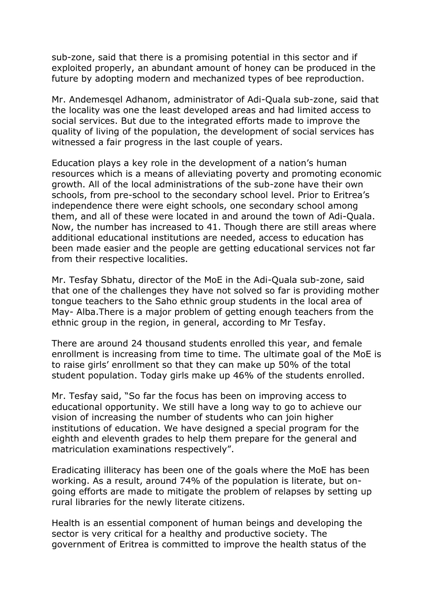sub-zone, said that there is a promising potential in this sector and if exploited properly, an abundant amount of honey can be produced in the future by adopting modern and mechanized types of bee reproduction.

Mr. Andemesqel Adhanom, administrator of Adi-Quala sub-zone, said that the locality was one the least developed areas and had limited access to social services. But due to the integrated efforts made to improve the quality of living of the population, the development of social services has witnessed a fair progress in the last couple of years.

Education plays a key role in the development of a nation's human resources which is a means of alleviating poverty and promoting economic growth. All of the local administrations of the sub-zone have their own schools, from pre-school to the secondary school level. Prior to Eritrea's independence there were eight schools, one secondary school among them, and all of these were located in and around the town of Adi-Quala. Now, the number has increased to 41. Though there are still areas where additional educational institutions are needed, access to education has been made easier and the people are getting educational services not far from their respective localities.

Mr. Tesfay Sbhatu, director of the MoE in the Adi-Quala sub-zone, said that one of the challenges they have not solved so far is providing mother tongue teachers to the Saho ethnic group students in the local area of May- Alba.There is a major problem of getting enough teachers from the ethnic group in the region, in general, according to Mr Tesfay.

There are around 24 thousand students enrolled this year, and female enrollment is increasing from time to time. The ultimate goal of the MoE is to raise girls' enrollment so that they can make up 50% of the total student population. Today girls make up 46% of the students enrolled.

Mr. Tesfay said, "So far the focus has been on improving access to educational opportunity. We still have a long way to go to achieve our vision of increasing the number of students who can join higher institutions of education. We have designed a special program for the eighth and eleventh grades to help them prepare for the general and matriculation examinations respectively".

Eradicating illiteracy has been one of the goals where the MoE has been working. As a result, around 74% of the population is literate, but ongoing efforts are made to mitigate the problem of relapses by setting up rural libraries for the newly literate citizens.

Health is an essential component of human beings and developing the sector is very critical for a healthy and productive society. The government of Eritrea is committed to improve the health status of the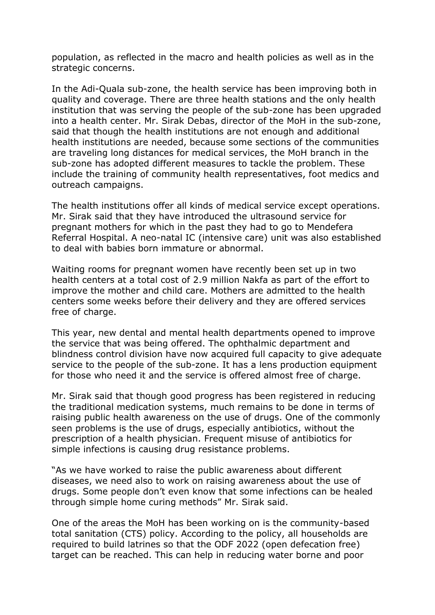population, as reflected in the macro and health policies as well as in the strategic concerns.

In the Adi-Quala sub-zone, the health service has been improving both in quality and coverage. There are three health stations and the only health institution that was serving the people of the sub-zone has been upgraded into a health center. Mr. Sirak Debas, director of the MoH in the sub-zone, said that though the health institutions are not enough and additional health institutions are needed, because some sections of the communities are traveling long distances for medical services, the MoH branch in the sub-zone has adopted different measures to tackle the problem. These include the training of community health representatives, foot medics and outreach campaigns.

The health institutions offer all kinds of medical service except operations. Mr. Sirak said that they have introduced the ultrasound service for pregnant mothers for which in the past they had to go to Mendefera Referral Hospital. A neo-natal IC (intensive care) unit was also established to deal with babies born immature or abnormal.

Waiting rooms for pregnant women have recently been set up in two health centers at a total cost of 2.9 million Nakfa as part of the effort to improve the mother and child care. Mothers are admitted to the health centers some weeks before their delivery and they are offered services free of charge.

This year, new dental and mental health departments opened to improve the service that was being offered. The ophthalmic department and blindness control division have now acquired full capacity to give adequate service to the people of the sub-zone. It has a lens production equipment for those who need it and the service is offered almost free of charge.

Mr. Sirak said that though good progress has been registered in reducing the traditional medication systems, much remains to be done in terms of raising public health awareness on the use of drugs. One of the commonly seen problems is the use of drugs, especially antibiotics, without the prescription of a health physician. Frequent misuse of antibiotics for simple infections is causing drug resistance problems.

"As we have worked to raise the public awareness about different diseases, we need also to work on raising awareness about the use of drugs. Some people don't even know that some infections can be healed through simple home curing methods" Mr. Sirak said.

One of the areas the MoH has been working on is the community-based total sanitation (CTS) policy. According to the policy, all households are required to build latrines so that the ODF 2022 (open defecation free) target can be reached. This can help in reducing water borne and poor